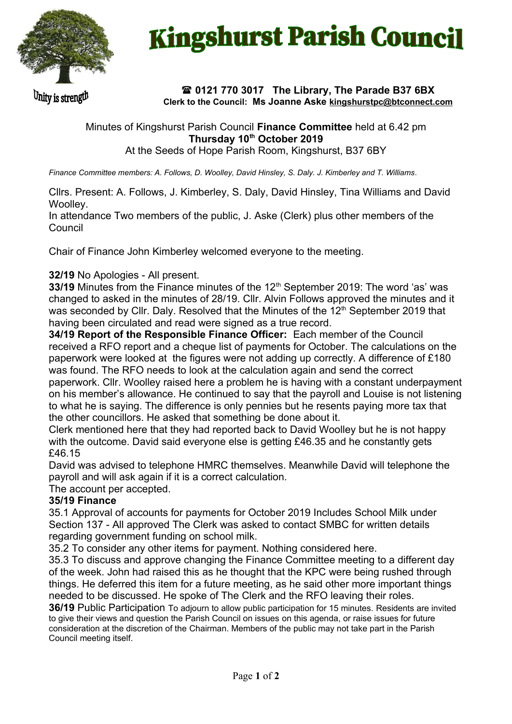

# **Kingshurst Parish Council**

Unity is strength

### **0121 770 3017 The Library, The Parade B37 6BX Clerk to the Council: Ms Joanne Aske [kingshurstpc@btconnect.com](mailto:kingshurstpc@btconnect.com)**

## Minutes of Kingshurst Parish Council **Finance Committee** held at 6.42 pm **Thursday 10th October 2019**

At the Seeds of Hope Parish Room, Kingshurst, B37 6BY

*Finance Committee members: A. Follows, D. Woolley, David Hinsley, S. Daly. J. Kimberley and T. Williams*.

Cllrs. Present: A. Follows, J. Kimberley, S. Daly, David Hinsley, Tina Williams and David Woolley.

In attendance Two members of the public, J. Aske (Clerk) plus other members of the Council

Chair of Finance John Kimberley welcomed everyone to the meeting.

## **32/19** No Apologies - All present.

**33/19** Minutes from the Finance minutes of the 12<sup>th</sup> September 2019: The word 'as' was changed to asked in the minutes of 28/19. Cllr. Alvin Follows approved the minutes and it was seconded by Cllr. Daly. Resolved that the Minutes of the 12<sup>th</sup> September 2019 that having been circulated and read were signed as a true record.

**34/19 Report of the Responsible Finance Officer:** Each member of the Council received a RFO report and a cheque list of payments for October. The calculations on the paperwork were looked at the figures were not adding up correctly. A difference of £180 was found. The RFO needs to look at the calculation again and send the correct paperwork. Cllr. Woolley raised here a problem he is having with a constant underpayment on his member's allowance. He continued to say that the payroll and Louise is not listening to what he is saying. The difference is only pennies but he resents paying more tax that the other councillors. He asked that something be done about it.

Clerk mentioned here that they had reported back to David Woolley but he is not happy with the outcome. David said everyone else is getting £46.35 and he constantly gets £46.15

David was advised to telephone HMRC themselves. Meanwhile David will telephone the payroll and will ask again if it is a correct calculation.

The account per accepted.

#### **35/19 Finance**

35.1 Approval of accounts for payments for October 2019 Includes School Milk under Section 137 - All approved The Clerk was asked to contact SMBC for written details regarding government funding on school milk.

35.2 To consider any other items for payment. Nothing considered here.

35.3 To discuss and approve changing the Finance Committee meeting to a different day of the week. John had raised this as he thought that the KPC were being rushed through things. He deferred this item for a future meeting, as he said other more important things needed to be discussed. He spoke of The Clerk and the RFO leaving their roles.

**36/19** Public Participation To adjourn to allow public participation for 15 minutes. Residents are invited to give their views and question the Parish Council on issues on this agenda, or raise issues for future consideration at the discretion of the Chairman. Members of the public may not take part in the Parish Council meeting itself.